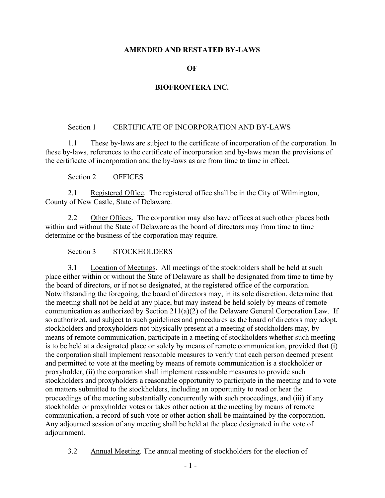#### **AMENDED AND RESTATED BY-LAWS**

#### **OF**

#### **BIOFRONTERA INC.**

#### Section 1 CERTIFICATE OF INCORPORATION AND BY-LAWS

1.1 These by-laws are subject to the certificate of incorporation of the corporation. In these by-laws, references to the certificate of incorporation and by-laws mean the provisions of the certificate of incorporation and the by-laws as are from time to time in effect.

Section 2 OFFICES

2.1 Registered Office. The registered office shall be in the City of Wilmington, County of New Castle, State of Delaware.

2.2 Other Offices. The corporation may also have offices at such other places both within and without the State of Delaware as the board of directors may from time to time determine or the business of the corporation may require.

Section 3 STOCKHOLDERS

3.1 Location of Meetings. All meetings of the stockholders shall be held at such place either within or without the State of Delaware as shall be designated from time to time by the board of directors, or if not so designated, at the registered office of the corporation. Notwithstanding the foregoing, the board of directors may, in its sole discretion, determine that the meeting shall not be held at any place, but may instead be held solely by means of remote communication as authorized by Section 211(a)(2) of the Delaware General Corporation Law. If so authorized, and subject to such guidelines and procedures as the board of directors may adopt, stockholders and proxyholders not physically present at a meeting of stockholders may, by means of remote communication, participate in a meeting of stockholders whether such meeting is to be held at a designated place or solely by means of remote communication, provided that (i) the corporation shall implement reasonable measures to verify that each person deemed present and permitted to vote at the meeting by means of remote communication is a stockholder or proxyholder, (ii) the corporation shall implement reasonable measures to provide such stockholders and proxyholders a reasonable opportunity to participate in the meeting and to vote on matters submitted to the stockholders, including an opportunity to read or hear the proceedings of the meeting substantially concurrently with such proceedings, and (iii) if any stockholder or proxyholder votes or takes other action at the meeting by means of remote communication, a record of such vote or other action shall be maintained by the corporation. Any adjourned session of any meeting shall be held at the place designated in the vote of adjournment.

3.2 Annual Meeting. The annual meeting of stockholders for the election of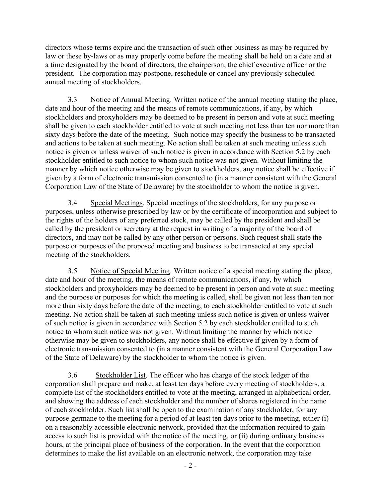directors whose terms expire and the transaction of such other business as may be required by law or these by-laws or as may properly come before the meeting shall be held on a date and at a time designated by the board of directors, the chairperson, the chief executive officer or the president. The corporation may postpone, reschedule or cancel any previously scheduled annual meeting of stockholders.

3.3 Notice of Annual Meeting. Written notice of the annual meeting stating the place, date and hour of the meeting and the means of remote communications, if any, by which stockholders and proxyholders may be deemed to be present in person and vote at such meeting shall be given to each stockholder entitled to vote at such meeting not less than ten nor more than sixty days before the date of the meeting. Such notice may specify the business to be transacted and actions to be taken at such meeting. No action shall be taken at such meeting unless such notice is given or unless waiver of such notice is given in accordance with Section 5.2 by each stockholder entitled to such notice to whom such notice was not given. Without limiting the manner by which notice otherwise may be given to stockholders, any notice shall be effective if given by a form of electronic transmission consented to (in a manner consistent with the General Corporation Law of the State of Delaware) by the stockholder to whom the notice is given.

3.4 Special Meetings. Special meetings of the stockholders, for any purpose or purposes, unless otherwise prescribed by law or by the certificate of incorporation and subject to the rights of the holders of any preferred stock, may be called by the president and shall be called by the president or secretary at the request in writing of a majority of the board of directors, and may not be called by any other person or persons. Such request shall state the purpose or purposes of the proposed meeting and business to be transacted at any special meeting of the stockholders.

3.5 Notice of Special Meeting. Written notice of a special meeting stating the place, date and hour of the meeting, the means of remote communications, if any, by which stockholders and proxyholders may be deemed to be present in person and vote at such meeting and the purpose or purposes for which the meeting is called, shall be given not less than ten nor more than sixty days before the date of the meeting, to each stockholder entitled to vote at such meeting. No action shall be taken at such meeting unless such notice is given or unless waiver of such notice is given in accordance with Section 5.2 by each stockholder entitled to such notice to whom such notice was not given. Without limiting the manner by which notice otherwise may be given to stockholders, any notice shall be effective if given by a form of electronic transmission consented to (in a manner consistent with the General Corporation Law of the State of Delaware) by the stockholder to whom the notice is given.

3.6 Stockholder List. The officer who has charge of the stock ledger of the corporation shall prepare and make, at least ten days before every meeting of stockholders, a complete list of the stockholders entitled to vote at the meeting, arranged in alphabetical order, and showing the address of each stockholder and the number of shares registered in the name of each stockholder. Such list shall be open to the examination of any stockholder, for any purpose germane to the meeting for a period of at least ten days prior to the meeting, either (i) on a reasonably accessible electronic network, provided that the information required to gain access to such list is provided with the notice of the meeting, or (ii) during ordinary business hours, at the principal place of business of the corporation. In the event that the corporation determines to make the list available on an electronic network, the corporation may take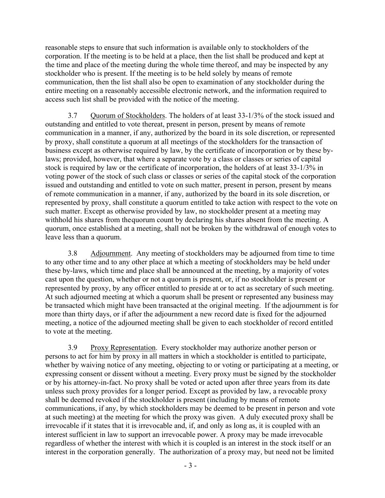reasonable steps to ensure that such information is available only to stockholders of the corporation. If the meeting is to be held at a place, then the list shall be produced and kept at the time and place of the meeting during the whole time thereof, and may be inspected by any stockholder who is present. If the meeting is to be held solely by means of remote communication, then the list shall also be open to examination of any stockholder during the entire meeting on a reasonably accessible electronic network, and the information required to access such list shall be provided with the notice of the meeting.

3.7 Quorum of Stockholders. The holders of at least 33-1/3% of the stock issued and outstanding and entitled to vote thereat, present in person, present by means of remote communication in a manner, if any, authorized by the board in its sole discretion, or represented by proxy, shall constitute a quorum at all meetings of the stockholders for the transaction of business except as otherwise required by law, by the certificate of incorporation or by these bylaws; provided, however, that where a separate vote by a class or classes or series of capital stock is required by law or the certificate of incorporation, the holders of at least 33-1/3% in voting power of the stock of such class or classes or series of the capital stock of the corporation issued and outstanding and entitled to vote on such matter, present in person, present by means of remote communication in a manner, if any, authorized by the board in its sole discretion, or represented by proxy, shall constitute a quorum entitled to take action with respect to the vote on such matter. Except as otherwise provided by law, no stockholder present at a meeting may withhold his shares from the quorum count by declaring his shares absent from the meeting. A quorum, once established at a meeting, shall not be broken by the withdrawal of enough votes to leave less than a quorum.

3.8 Adjournment. Any meeting of stockholders may be adjourned from time to time to any other time and to any other place at which a meeting of stockholders may be held under these by-laws, which time and place shall be announced at the meeting, by a majority of votes cast upon the question, whether or not a quorum is present, or, if no stockholder is present or represented by proxy, by any officer entitled to preside at or to act as secretary of such meeting. At such adjourned meeting at which a quorum shall be present or represented any business may be transacted which might have been transacted at the original meeting. If the adjournment is for more than thirty days, or if after the adjournment a new record date is fixed for the adjourned meeting, a notice of the adjourned meeting shall be given to each stockholder of record entitled to vote at the meeting.

3.9 Proxy Representation. Every stockholder may authorize another person or persons to act for him by proxy in all matters in which a stockholder is entitled to participate, whether by waiving notice of any meeting, objecting to or voting or participating at a meeting, or expressing consent or dissent without a meeting. Every proxy must be signed by the stockholder or by his attorney-in-fact. No proxy shall be voted or acted upon after three years from its date unless such proxy provides for a longer period. Except as provided by law, a revocable proxy shall be deemed revoked if the stockholder is present (including by means of remote communications, if any, by which stockholders may be deemed to be present in person and vote at such meeting) at the meeting for which the proxy was given. A duly executed proxy shall be irrevocable if it states that it is irrevocable and, if, and only as long as, it is coupled with an interest sufficient in law to support an irrevocable power. A proxy may be made irrevocable regardless of whether the interest with which it is coupled is an interest in the stock itself or an interest in the corporation generally. The authorization of a proxy may, but need not be limited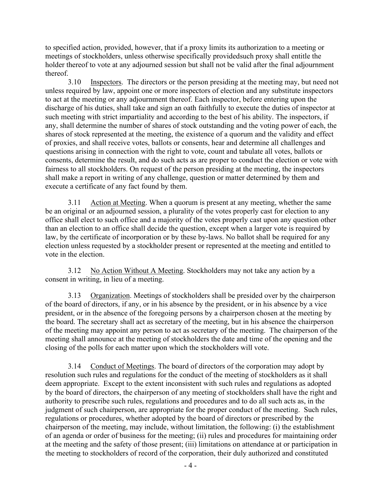to specified action, provided, however, that if a proxy limits its authorization to a meeting or meetings of stockholders, unless otherwise specifically providedsuch proxy shall entitle the holder thereof to vote at any adjourned session but shall not be valid after the final adjournment thereof.

3.10 Inspectors. The directors or the person presiding at the meeting may, but need not unless required by law, appoint one or more inspectors of election and any substitute inspectors to act at the meeting or any adjournment thereof. Each inspector, before entering upon the discharge of his duties, shall take and sign an oath faithfully to execute the duties of inspector at such meeting with strict impartiality and according to the best of his ability. The inspectors, if any, shall determine the number of shares of stock outstanding and the voting power of each, the shares of stock represented at the meeting, the existence of a quorum and the validity and effect of proxies, and shall receive votes, ballots or consents, hear and determine all challenges and questions arising in connection with the right to vote, count and tabulate all votes, ballots or consents, determine the result, and do such acts as are proper to conduct the election or vote with fairness to all stockholders. On request of the person presiding at the meeting, the inspectors shall make a report in writing of any challenge, question or matter determined by them and execute a certificate of any fact found by them.

3.11 Action at Meeting. When a quorum is present at any meeting, whether the same be an original or an adjourned session, a plurality of the votes properly cast for election to any office shall elect to such office and a majority of the votes properly cast upon any question other than an election to an office shall decide the question, except when a larger vote is required by law, by the certificate of incorporation or by these by-laws. No ballot shall be required for any election unless requested by a stockholder present or represented at the meeting and entitled to vote in the election.

3.12 No Action Without A Meeting. Stockholders may not take any action by a consent in writing, in lieu of a meeting.

3.13 Organization. Meetings of stockholders shall be presided over by the chairperson of the board of directors, if any, or in his absence by the president, or in his absence by a vice president, or in the absence of the foregoing persons by a chairperson chosen at the meeting by the board. The secretary shall act as secretary of the meeting, but in his absence the chairperson of the meeting may appoint any person to act as secretary of the meeting. The chairperson of the meeting shall announce at the meeting of stockholders the date and time of the opening and the closing of the polls for each matter upon which the stockholders will vote.

3.14 Conduct of Meetings. The board of directors of the corporation may adopt by resolution such rules and regulations for the conduct of the meeting of stockholders as it shall deem appropriate. Except to the extent inconsistent with such rules and regulations as adopted by the board of directors, the chairperson of any meeting of stockholders shall have the right and authority to prescribe such rules, regulations and procedures and to do all such acts as, in the judgment of such chairperson, are appropriate for the proper conduct of the meeting. Such rules, regulations or procedures, whether adopted by the board of directors or prescribed by the chairperson of the meeting, may include, without limitation, the following: (i) the establishment of an agenda or order of business for the meeting; (ii) rules and procedures for maintaining order at the meeting and the safety of those present; (iii) limitations on attendance at or participation in the meeting to stockholders of record of the corporation, their duly authorized and constituted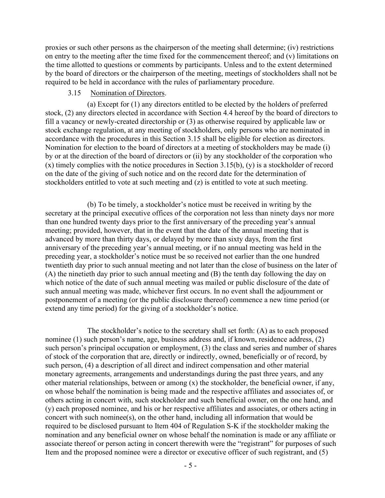proxies or such other persons as the chairperson of the meeting shall determine; (iv) restrictions on entry to the meeting after the time fixed for the commencement thereof; and (v) limitations on the time allotted to questions or comments by participants. Unless and to the extent determined by the board of directors or the chairperson of the meeting, meetings of stockholders shall not be required to be held in accordance with the rules of parliamentary procedure.

### 3.15 Nomination of Directors.

(a) Except for (1) any directors entitled to be elected by the holders of preferred stock, (2) any directors elected in accordance with Section 4.4 hereof by the board of directors to fill a vacancy or newly-created directorship or (3) as otherwise required by applicable law or stock exchange regulation, at any meeting of stockholders, only persons who are nominated in accordance with the procedures in this Section 3.15 shall be eligible for election as directors. Nomination for election to the board of directors at a meeting of stockholders may be made (i) by or at the direction of the board of directors or (ii) by any stockholder of the corporation who (x) timely complies with the notice procedures in Section 3.15(b), (y) is a stockholder of record on the date of the giving of such notice and on the record date for the determination of stockholders entitled to vote at such meeting and (z) is entitled to vote at such meeting.

(b) To be timely, a stockholder's notice must be received in writing by the secretary at the principal executive offices of the corporation not less than ninety days nor more than one hundred twenty days prior to the first anniversary of the preceding year's annual meeting; provided, however, that in the event that the date of the annual meeting that is advanced by more than thirty days, or delayed by more than sixty days, from the first anniversary of the preceding year's annual meeting, or if no annual meeting was held in the preceding year, a stockholder's notice must be so received not earlier than the one hundred twentieth day prior to such annual meeting and not later than the close of business on the later of (A) the ninetieth day prior to such annual meeting and (B) the tenth day following the day on which notice of the date of such annual meeting was mailed or public disclosure of the date of such annual meeting was made, whichever first occurs. In no event shall the adjournment or postponement of a meeting (or the public disclosure thereof) commence a new time period (or extend any time period) for the giving of a stockholder's notice.

The stockholder's notice to the secretary shall set forth: (A) as to each proposed nominee (1) such person's name, age, business address and, if known, residence address, (2) such person's principal occupation or employment, (3) the class and series and number of shares of stock of the corporation that are, directly or indirectly, owned, beneficially or of record, by such person, (4) a description of all direct and indirect compensation and other material monetary agreements, arrangements and understandings during the past three years, and any other material relationships, between or among (x) the stockholder, the beneficial owner, if any, on whose behalf the nomination is being made and the respective affiliates and associates of, or others acting in concert with, such stockholder and such beneficial owner, on the one hand, and (y) each proposed nominee, and his or her respective affiliates and associates, or others acting in concert with such nominee(s), on the other hand, including all information that would be required to be disclosed pursuant to Item 404 of Regulation S-K if the stockholder making the nomination and any beneficial owner on whose behalf the nomination is made or any affiliate or associate thereof or person acting in concert therewith were the "registrant" for purposes of such Item and the proposed nominee were a director or executive officer of such registrant, and (5)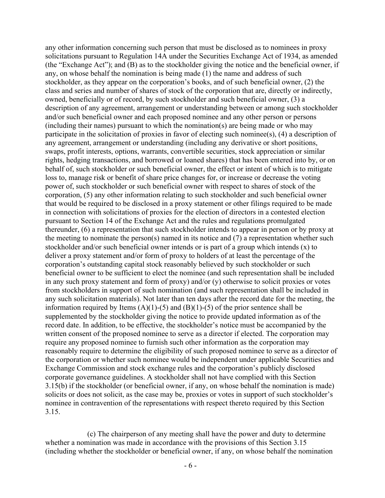any other information concerning such person that must be disclosed as to nominees in proxy solicitations pursuant to Regulation 14A under the Securities Exchange Act of 1934, as amended (the "Exchange Act"); and (B) as to the stockholder giving the notice and the beneficial owner, if any, on whose behalf the nomination is being made (1) the name and address of such stockholder, as they appear on the corporation's books, and of such beneficial owner, (2) the class and series and number of shares of stock of the corporation that are, directly or indirectly, owned, beneficially or of record, by such stockholder and such beneficial owner, (3) a description of any agreement, arrangement or understanding between or among such stockholder and/or such beneficial owner and each proposed nominee and any other person or persons (including their names) pursuant to which the nomination(s) are being made or who may participate in the solicitation of proxies in favor of electing such nominee(s), (4) a description of any agreement, arrangement or understanding (including any derivative or short positions, swaps, profit interests, options, warrants, convertible securities, stock appreciation or similar rights, hedging transactions, and borrowed or loaned shares) that has been entered into by, or on behalf of, such stockholder or such beneficial owner, the effect or intent of which is to mitigate loss to, manage risk or benefit of share price changes for, or increase or decrease the voting power of, such stockholder or such beneficial owner with respect to shares of stock of the corporation, (5) any other information relating to such stockholder and such beneficial owner that would be required to be disclosed in a proxy statement or other filings required to be made in connection with solicitations of proxies for the election of directors in a contested election pursuant to Section 14 of the Exchange Act and the rules and regulations promulgated thereunder, (6) a representation that such stockholder intends to appear in person or by proxy at the meeting to nominate the person(s) named in its notice and (7) a representation whether such stockholder and/or such beneficial owner intends or is part of a group which intends (x) to deliver a proxy statement and/or form of proxy to holders of at least the percentage of the corporation's outstanding capital stock reasonably believed by such stockholder or such beneficial owner to be sufficient to elect the nominee (and such representation shall be included in any such proxy statement and form of proxy) and/or (y) otherwise to solicit proxies or votes from stockholders in support of such nomination (and such representation shall be included in any such solicitation materials). Not later than ten days after the record date for the meeting, the information required by Items  $(A)(1)-(5)$  and  $(B)(1)-(5)$  of the prior sentence shall be supplemented by the stockholder giving the notice to provide updated information as of the record date. In addition, to be effective, the stockholder's notice must be accompanied by the written consent of the proposed nominee to serve as a director if elected. The corporation may require any proposed nominee to furnish such other information as the corporation may reasonably require to determine the eligibility of such proposed nominee to serve as a director of the corporation or whether such nominee would be independent under applicable Securities and Exchange Commission and stock exchange rules and the corporation's publicly disclosed corporate governance guidelines. A stockholder shall not have complied with this Section 3.15(b) if the stockholder (or beneficial owner, if any, on whose behalf the nomination is made) solicits or does not solicit, as the case may be, proxies or votes in support of such stockholder's nominee in contravention of the representations with respect thereto required by this Section 3.15.

(c) The chairperson of any meeting shall have the power and duty to determine whether a nomination was made in accordance with the provisions of this Section 3.15 (including whether the stockholder or beneficial owner, if any, on whose behalf the nomination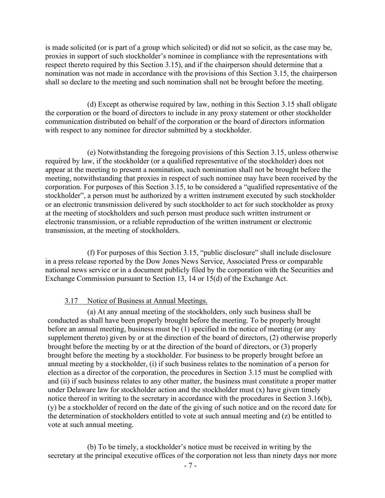is made solicited (or is part of a group which solicited) or did not so solicit, as the case may be, proxies in support of such stockholder's nominee in compliance with the representations with respect thereto required by this Section 3.15), and if the chairperson should determine that a nomination was not made in accordance with the provisions of this Section 3.15, the chairperson shall so declare to the meeting and such nomination shall not be brought before the meeting.

(d) Except as otherwise required by law, nothing in this Section 3.15 shall obligate the corporation or the board of directors to include in any proxy statement or other stockholder communication distributed on behalf of the corporation or the board of directors information with respect to any nominee for director submitted by a stockholder.

(e) Notwithstanding the foregoing provisions of this Section 3.15, unless otherwise required by law, if the stockholder (or a qualified representative of the stockholder) does not appear at the meeting to present a nomination, such nomination shall not be brought before the meeting, notwithstanding that proxies in respect of such nominee may have been received by the corporation. For purposes of this Section 3.15, to be considered a "qualified representative of the stockholder", a person must be authorized by a written instrument executed by such stockholder or an electronic transmission delivered by such stockholder to act for such stockholder as proxy at the meeting of stockholders and such person must produce such written instrument or electronic transmission, or a reliable reproduction of the written instrument or electronic transmission, at the meeting of stockholders.

(f) For purposes of this Section 3.15, "public disclosure" shall include disclosure in a press release reported by the Dow Jones News Service, Associated Press or comparable national news service or in a document publicly filed by the corporation with the Securities and Exchange Commission pursuant to Section 13, 14 or 15(d) of the Exchange Act.

#### 3.17 Notice of Business at Annual Meetings.

(a) At any annual meeting of the stockholders, only such business shall be conducted as shall have been properly brought before the meeting. To be properly brought before an annual meeting, business must be (1) specified in the notice of meeting (or any supplement thereto) given by or at the direction of the board of directors, (2) otherwise properly brought before the meeting by or at the direction of the board of directors, or (3) properly brought before the meeting by a stockholder. For business to be properly brought before an annual meeting by a stockholder, (i) if such business relates to the nomination of a person for election as a director of the corporation, the procedures in Section 3.15 must be complied with and (ii) if such business relates to any other matter, the business must constitute a proper matter under Delaware law for stockholder action and the stockholder must (x) have given timely notice thereof in writing to the secretary in accordance with the procedures in Section 3.16(b), (y) be a stockholder of record on the date of the giving of such notice and on the record date for the determination of stockholders entitled to vote at such annual meeting and (z) be entitled to vote at such annual meeting.

(b) To be timely, a stockholder's notice must be received in writing by the secretary at the principal executive offices of the corporation not less than ninety days nor more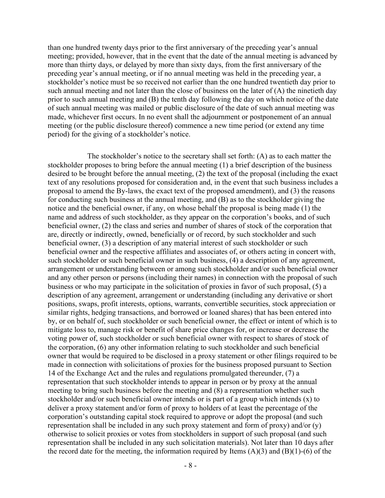than one hundred twenty days prior to the first anniversary of the preceding year's annual meeting; provided, however, that in the event that the date of the annual meeting is advanced by more than thirty days, or delayed by more than sixty days, from the first anniversary of the preceding year's annual meeting, or if no annual meeting was held in the preceding year, a stockholder's notice must be so received not earlier than the one hundred twentieth day prior to such annual meeting and not later than the close of business on the later of  $(A)$  the ninetieth day prior to such annual meeting and (B) the tenth day following the day on which notice of the date of such annual meeting was mailed or public disclosure of the date of such annual meeting was made, whichever first occurs. In no event shall the adjournment or postponement of an annual meeting (or the public disclosure thereof) commence a new time period (or extend any time period) for the giving of a stockholder's notice.

The stockholder's notice to the secretary shall set forth: (A) as to each matter the stockholder proposes to bring before the annual meeting (1) a brief description of the business desired to be brought before the annual meeting, (2) the text of the proposal (including the exact text of any resolutions proposed for consideration and, in the event that such business includes a proposal to amend the By-laws, the exact text of the proposed amendment), and (3) the reasons for conducting such business at the annual meeting, and (B) as to the stockholder giving the notice and the beneficial owner, if any, on whose behalf the proposal is being made (1) the name and address of such stockholder, as they appear on the corporation's books, and of such beneficial owner, (2) the class and series and number of shares of stock of the corporation that are, directly or indirectly, owned, beneficially or of record, by such stockholder and such beneficial owner, (3) a description of any material interest of such stockholder or such beneficial owner and the respective affiliates and associates of, or others acting in concert with, such stockholder or such beneficial owner in such business, (4) a description of any agreement, arrangement or understanding between or among such stockholder and/or such beneficial owner and any other person or persons (including their names) in connection with the proposal of such business or who may participate in the solicitation of proxies in favor of such proposal, (5) a description of any agreement, arrangement or understanding (including any derivative or short positions, swaps, profit interests, options, warrants, convertible securities, stock appreciation or similar rights, hedging transactions, and borrowed or loaned shares) that has been entered into by, or on behalf of, such stockholder or such beneficial owner, the effect or intent of which is to mitigate loss to, manage risk or benefit of share price changes for, or increase or decrease the voting power of, such stockholder or such beneficial owner with respect to shares of stock of the corporation, (6) any other information relating to such stockholder and such beneficial owner that would be required to be disclosed in a proxy statement or other filings required to be made in connection with solicitations of proxies for the business proposed pursuant to Section 14 of the Exchange Act and the rules and regulations promulgated thereunder, (7) a representation that such stockholder intends to appear in person or by proxy at the annual meeting to bring such business before the meeting and (8) a representation whether such stockholder and/or such beneficial owner intends or is part of a group which intends  $(x)$  to deliver a proxy statement and/or form of proxy to holders of at least the percentage of the corporation's outstanding capital stock required to approve or adopt the proposal (and such representation shall be included in any such proxy statement and form of proxy) and/or (y) otherwise to solicit proxies or votes from stockholders in support of such proposal (and such representation shall be included in any such solicitation materials). Not later than 10 days after the record date for the meeting, the information required by Items  $(A)(3)$  and  $(B)(1)-(6)$  of the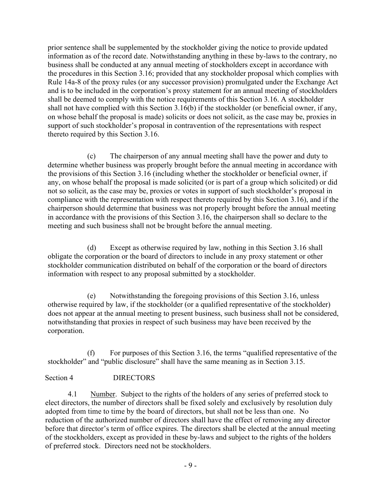prior sentence shall be supplemented by the stockholder giving the notice to provide updated information as of the record date. Notwithstanding anything in these by-laws to the contrary, no business shall be conducted at any annual meeting of stockholders except in accordance with the procedures in this Section 3.16; provided that any stockholder proposal which complies with Rule 14a-8 of the proxy rules (or any successor provision) promulgated under the Exchange Act and is to be included in the corporation's proxy statement for an annual meeting of stockholders shall be deemed to comply with the notice requirements of this Section 3.16. A stockholder shall not have complied with this Section 3.16(b) if the stockholder (or beneficial owner, if any, on whose behalf the proposal is made) solicits or does not solicit, as the case may be, proxies in support of such stockholder's proposal in contravention of the representations with respect thereto required by this Section 3.16.

(c) The chairperson of any annual meeting shall have the power and duty to determine whether business was properly brought before the annual meeting in accordance with the provisions of this Section 3.16 (including whether the stockholder or beneficial owner, if any, on whose behalf the proposal is made solicited (or is part of a group which solicited) or did not so solicit, as the case may be, proxies or votes in support of such stockholder's proposal in compliance with the representation with respect thereto required by this Section 3.16), and if the chairperson should determine that business was not properly brought before the annual meeting in accordance with the provisions of this Section 3.16, the chairperson shall so declare to the meeting and such business shall not be brought before the annual meeting.

(d) Except as otherwise required by law, nothing in this Section 3.16 shall obligate the corporation or the board of directors to include in any proxy statement or other stockholder communication distributed on behalf of the corporation or the board of directors information with respect to any proposal submitted by a stockholder.

(e) Notwithstanding the foregoing provisions of this Section 3.16, unless otherwise required by law, if the stockholder (or a qualified representative of the stockholder) does not appear at the annual meeting to present business, such business shall not be considered, notwithstanding that proxies in respect of such business may have been received by the corporation.

(f) For purposes of this Section 3.16, the terms "qualified representative of the stockholder" and "public disclosure" shall have the same meaning as in Section 3.15.

# Section 4 DIRECTORS

4.1 Number. Subject to the rights of the holders of any series of preferred stock to elect directors, the number of directors shall be fixed solely and exclusively by resolution duly adopted from time to time by the board of directors, but shall not be less than one. No reduction of the authorized number of directors shall have the effect of removing any director before that director's term of office expires. The directors shall be elected at the annual meeting of the stockholders, except as provided in these by-laws and subject to the rights of the holders of preferred stock. Directors need not be stockholders.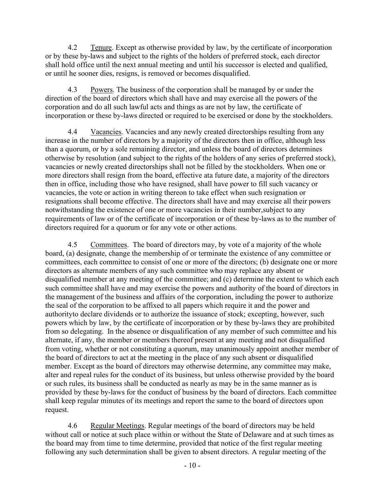4.2 Tenure. Except as otherwise provided by law, by the certificate of incorporation or by these by-laws and subject to the rights of the holders of preferred stock, each director shall hold office until the next annual meeting and until his successor is elected and qualified, or until he sooner dies, resigns, is removed or becomes disqualified.

4.3 Powers. The business of the corporation shall be managed by or under the direction of the board of directors which shall have and may exercise all the powers of the corporation and do all such lawful acts and things as are not by law, the certificate of incorporation or these by-laws directed or required to be exercised or done by the stockholders.

4.4 Vacancies. Vacancies and any newly created directorships resulting from any increase in the number of directors by a majority of the directors then in office, although less than a quorum, or by a sole remaining director, and unless the board of directors determines otherwise by resolution (and subject to the rights of the holders of any series of preferred stock), vacancies or newly created directorships shall not be filled by the stockholders. When one or more directors shall resign from the board, effective ata future date, a majority of the directors then in office, including those who have resigned, shall have power to fill such vacancy or vacancies, the vote or action in writing thereon to take effect when such resignation or resignations shall become effective. The directors shall have and may exercise all their powers notwithstanding the existence of one or more vacancies in their number,subject to any requirements of law or of the certificate of incorporation or of these by-laws as to the number of directors required for a quorum or for any vote or other actions.

4.5 Committees. The board of directors may, by vote of a majority of the whole board, (a) designate, change the membership of or terminate the existence of any committee or committees, each committee to consist of one or more of the directors; (b) designate one or more directors as alternate members of any such committee who may replace any absent or disqualified member at any meeting of the committee; and (c) determine the extent to which each such committee shall have and may exercise the powers and authority of the board of directors in the management of the business and affairs of the corporation, including the power to authorize the seal of the corporation to be affixed to all papers which require it and the power and authorityto declare dividends or to authorize the issuance of stock; excepting, however, such powers which by law, by the certificate of incorporation or by these by-laws they are prohibited from so delegating. In the absence or disqualification of any member of such committee and his alternate, if any, the member or members thereof present at any meeting and not disqualified from voting, whether or not constituting a quorum, may unanimously appoint another member of the board of directors to act at the meeting in the place of any such absent or disqualified member. Except as the board of directors may otherwise determine, any committee may make, alter and repeal rules for the conduct of its business, but unless otherwise provided by the board or such rules, its business shall be conducted as nearly as may be in the same manner as is provided by these by-laws for the conduct of business by the board of directors. Each committee shall keep regular minutes of its meetings and report the same to the board of directors upon request.

4.6 Regular Meetings. Regular meetings of the board of directors may be held without call or notice at such place within or without the State of Delaware and at such times as the board may from time to time determine, provided that notice of the first regular meeting following any such determination shall be given to absent directors. A regular meeting of the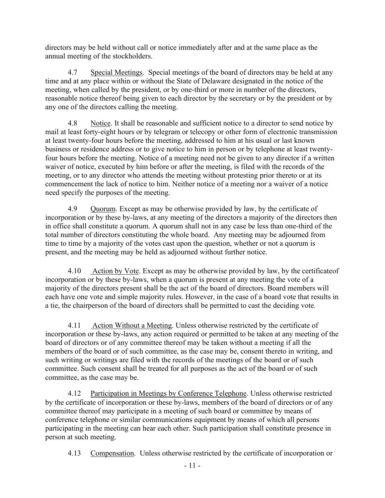directors may be held without call or notice immediately after and at the same place as the annual meeting of the stockholders.

4.7 Special Meetings. Special meetings of the board of directors may be held at any time and at any place within or without the State of Delaware designated in the notice of the meeting, when called by the president, or by one-third or more in number of the directors, reasonable notice thereof being given to each director by the secretary or by the president or by any one of the directors calling the meeting.

4.8 Notice. It shall be reasonable and sufficient notice to a director to send notice by mail at least forty-eight hours or by telegram or telecopy or other form of electronic transmission at least twenty-four hours before the meeting, addressed to him at his usual or last known business or residence address or to give notice to him in person or by telephone at least twentyfour hours before the meeting. Notice of a meeting need not be given to any director if a written waiver of notice, executed by him before or after the meeting, is filed with the records of the meeting, or to any director who attends the meeting without protesting prior thereto or at its commencement the lack of notice to him. Neither notice of a meeting nor a waiver of a notice need specify the purposes of the meeting.

4.9 Quorum. Except as may be otherwise provided by law, by the certificate of incorporation or by these by-laws, at any meeting of the directors a majority of the directors then in office shall constitute a quorum. A quorum shall not in any case be less than one-third of the total number of directors constituting the whole board. Any meeting may be adjourned from time to time by a majority of the votes cast upon the question, whether or not a quorum is present, and the meeting may be held as adjourned without further notice.

4.10 Action by Vote. Except as may be otherwise provided by law, by the certificateof incorporation or by these by-laws, when a quorum is present at any meeting the vote of a majority of the directors present shall be the act of the board of directors. Board members will each have one vote and simple majority rules. However, in the case of a board vote that results in a tie, the chairperson of the board of directors shall be permitted to cast the deciding vote*.*

4.11 Action Without a Meeting. Unless otherwise restricted by the certificate of incorporation or these by-laws, any action required or permitted to be taken at any meeting of the board of directors or of any committee thereof may be taken without a meeting if all the members of the board or of such committee, as the case may be, consent thereto in writing, and such writing or writings are filed with the records of the meetings of the board or of such committee. Such consent shall be treated for all purposes as the act of the board or of such committee, as the case may be.

4.12 Participation in Meetings by Conference Telephone. Unless otherwise restricted by the certificate of incorporation or these by-laws, members of the board of directors or of any committee thereof may participate in a meeting of such board or committee by means of conference telephone or similar communications equipment by means of which all persons participating in the meeting can hear each other. Such participation shall constitute presence in person at such meeting.

4.13 Compensation. Unless otherwise restricted by the certificate of incorporation or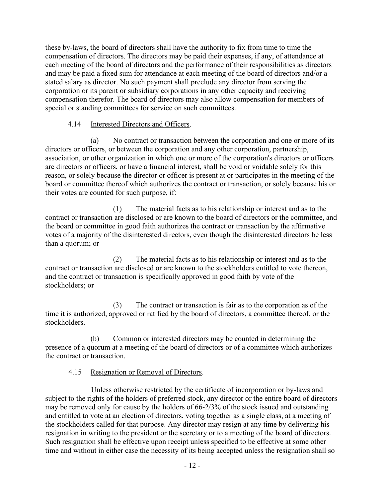these by-laws, the board of directors shall have the authority to fix from time to time the compensation of directors. The directors may be paid their expenses, if any, of attendance at each meeting of the board of directors and the performance of their responsibilities as directors and may be paid a fixed sum for attendance at each meeting of the board of directors and/or a stated salary as director. No such payment shall preclude any director from serving the corporation or its parent or subsidiary corporations in any other capacity and receiving compensation therefor. The board of directors may also allow compensation for members of special or standing committees for service on such committees.

### 4.14 Interested Directors and Officers.

(a) No contract or transaction between the corporation and one or more of its directors or officers, or between the corporation and any other corporation, partnership, association, or other organization in which one or more of the corporation's directors or officers are directors or officers, or have a financial interest, shall be void or voidable solely for this reason, or solely because the director or officer is present at or participates in the meeting of the board or committee thereof which authorizes the contract or transaction, or solely because his or their votes are counted for such purpose, if:

(1) The material facts as to his relationship or interest and as to the contract or transaction are disclosed or are known to the board of directors or the committee, and the board or committee in good faith authorizes the contract or transaction by the affirmative votes of a majority of the disinterested directors, even though the disinterested directors be less than a quorum; or

(2) The material facts as to his relationship or interest and as to the contract or transaction are disclosed or are known to the stockholders entitled to vote thereon, and the contract or transaction is specifically approved in good faith by vote of the stockholders; or

(3) The contract or transaction is fair as to the corporation as of the time it is authorized, approved or ratified by the board of directors, a committee thereof, or the stockholders.

(b) Common or interested directors may be counted in determining the presence of a quorum at a meeting of the board of directors or of a committee which authorizes the contract or transaction.

# 4.15 Resignation or Removal of Directors.

Unless otherwise restricted by the certificate of incorporation or by-laws and subject to the rights of the holders of preferred stock, any director or the entire board of directors may be removed only for cause by the holders of 66-2/3% of the stock issued and outstanding and entitled to vote at an election of directors, voting together as a single class, at a meeting of the stockholders called for that purpose. Any director may resign at any time by delivering his resignation in writing to the president or the secretary or to a meeting of the board of directors. Such resignation shall be effective upon receipt unless specified to be effective at some other time and without in either case the necessity of its being accepted unless the resignation shall so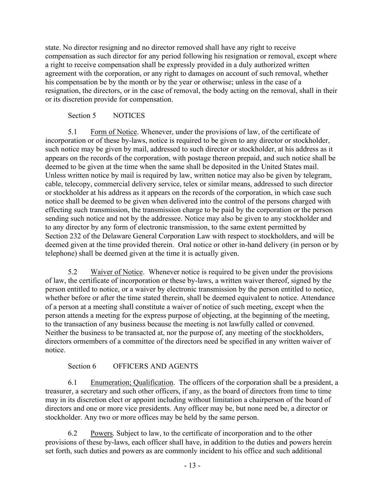state. No director resigning and no director removed shall have any right to receive compensation as such director for any period following his resignation or removal, except where a right to receive compensation shall be expressly provided in a duly authorized written agreement with the corporation, or any right to damages on account of such removal, whether his compensation be by the month or by the year or otherwise; unless in the case of a resignation, the directors, or in the case of removal, the body acting on the removal, shall in their or its discretion provide for compensation.

### Section 5 NOTICES

5.1 Form of Notice. Whenever, under the provisions of law, of the certificate of incorporation or of these by-laws, notice is required to be given to any director or stockholder, such notice may be given by mail, addressed to such director or stockholder, at his address as it appears on the records of the corporation, with postage thereon prepaid, and such notice shall be deemed to be given at the time when the same shall be deposited in the United States mail. Unless written notice by mail is required by law, written notice may also be given by telegram, cable, telecopy, commercial delivery service, telex or similar means, addressed to such director or stockholder at his address as it appears on the records of the corporation, in which case such notice shall be deemed to be given when delivered into the control of the persons charged with effecting such transmission, the transmission charge to be paid by the corporation or the person sending such notice and not by the addressee. Notice may also be given to any stockholder and to any director by any form of electronic transmission, to the same extent permitted by Section 232 of the Delaware General Corporation Law with respect to stockholders, and will be deemed given at the time provided therein. Oral notice or other in-hand delivery (in person or by telephone) shall be deemed given at the time it is actually given.

5.2 Waiver of Notice. Whenever notice is required to be given under the provisions of law, the certificate of incorporation or these by-laws, a written waiver thereof, signed by the person entitled to notice, or a waiver by electronic transmission by the person entitled to notice, whether before or after the time stated therein, shall be deemed equivalent to notice. Attendance of a person at a meeting shall constitute a waiver of notice of such meeting, except when the person attends a meeting for the express purpose of objecting, at the beginning of the meeting, to the transaction of any business because the meeting is not lawfully called or convened. Neither the business to be transacted at, nor the purpose of, any meeting of the stockholders, directors ormembers of a committee of the directors need be specified in any written waiver of notice.

# Section 6 OFFICERS AND AGENTS

6.1 Enumeration; Qualification. The officers of the corporation shall be a president, a treasurer, a secretary and such other officers, if any, as the board of directors from time to time may in its discretion elect or appoint including without limitation a chairperson of the board of directors and one or more vice presidents. Any officer may be, but none need be, a director or stockholder. Any two or more offices may be held by the same person.

6.2 Powers. Subject to law, to the certificate of incorporation and to the other provisions of these by-laws, each officer shall have, in addition to the duties and powers herein set forth, such duties and powers as are commonly incident to his office and such additional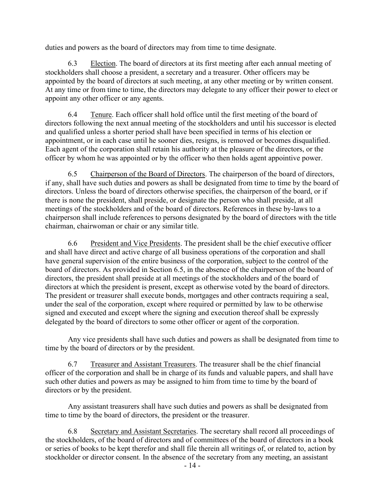duties and powers as the board of directors may from time to time designate.

6.3 Election. The board of directors at its first meeting after each annual meeting of stockholders shall choose a president, a secretary and a treasurer. Other officers may be appointed by the board of directors at such meeting, at any other meeting or by written consent. At any time or from time to time, the directors may delegate to any officer their power to elect or appoint any other officer or any agents.

6.4 Tenure. Each officer shall hold office until the first meeting of the board of directors following the next annual meeting of the stockholders and until his successor is elected and qualified unless a shorter period shall have been specified in terms of his election or appointment, or in each case until he sooner dies, resigns, is removed or becomes disqualified. Each agent of the corporation shall retain his authority at the pleasure of the directors, or the officer by whom he was appointed or by the officer who then holds agent appointive power.

6.5 Chairperson of the Board of Directors. The chairperson of the board of directors, if any, shall have such duties and powers as shall be designated from time to time by the board of directors. Unless the board of directors otherwise specifies, the chairperson of the board, or if there is none the president, shall preside, or designate the person who shall preside, at all meetings of the stockholders and of the board of directors. References in these by-laws to a chairperson shall include references to persons designated by the board of directors with the title chairman, chairwoman or chair or any similar title.

6.6 President and Vice Presidents. The president shall be the chief executive officer and shall have direct and active charge of all business operations of the corporation and shall have general supervision of the entire business of the corporation, subject to the control of the board of directors. As provided in Section 6.5, in the absence of the chairperson of the board of directors, the president shall preside at all meetings of the stockholders and of the board of directors at which the president is present, except as otherwise voted by the board of directors. The president or treasurer shall execute bonds, mortgages and other contracts requiring a seal, under the seal of the corporation, except where required or permitted by law to be otherwise signed and executed and except where the signing and execution thereof shall be expressly delegated by the board of directors to some other officer or agent of the corporation.

Any vice presidents shall have such duties and powers as shall be designated from time to time by the board of directors or by the president.

6.7 Treasurer and Assistant Treasurers. The treasurer shall be the chief financial officer of the corporation and shall be in charge of its funds and valuable papers, and shall have such other duties and powers as may be assigned to him from time to time by the board of directors or by the president.

Any assistant treasurers shall have such duties and powers as shall be designated from time to time by the board of directors, the president or the treasurer.

6.8 Secretary and Assistant Secretaries. The secretary shall record all proceedings of the stockholders, of the board of directors and of committees of the board of directors in a book or series of books to be kept therefor and shall file therein all writings of, or related to, action by stockholder or director consent. In the absence of the secretary from any meeting, an assistant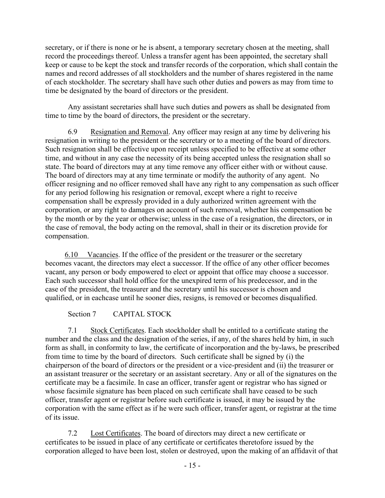secretary, or if there is none or he is absent, a temporary secretary chosen at the meeting, shall record the proceedings thereof. Unless a transfer agent has been appointed, the secretary shall keep or cause to be kept the stock and transfer records of the corporation, which shall contain the names and record addresses of all stockholders and the number of shares registered in the name of each stockholder. The secretary shall have such other duties and powers as may from time to time be designated by the board of directors or the president.

Any assistant secretaries shall have such duties and powers as shall be designated from time to time by the board of directors, the president or the secretary.

6.9 Resignation and Removal. Any officer may resign at any time by delivering his resignation in writing to the president or the secretary or to a meeting of the board of directors. Such resignation shall be effective upon receipt unless specified to be effective at some other time, and without in any case the necessity of its being accepted unless the resignation shall so state. The board of directors may at any time remove any officer either with or without cause. The board of directors may at any time terminate or modify the authority of any agent. No officer resigning and no officer removed shall have any right to any compensation as such officer for any period following his resignation or removal, except where a right to receive compensation shall be expressly provided in a duly authorized written agreement with the corporation, or any right to damages on account of such removal, whether his compensation be by the month or by the year or otherwise; unless in the case of a resignation, the directors, or in the case of removal, the body acting on the removal, shall in their or its discretion provide for compensation.

6.10 Vacancies. If the office of the president or the treasurer or the secretary becomes vacant, the directors may elect a successor. If the office of any other officer becomes vacant, any person or body empowered to elect or appoint that office may choose a successor. Each such successor shall hold office for the unexpired term of his predecessor, and in the case of the president, the treasurer and the secretary until his successor is chosen and qualified, or in eachcase until he sooner dies, resigns, is removed or becomes disqualified.

# Section 7 CAPITAL STOCK

7.1 Stock Certificates. Each stockholder shall be entitled to a certificate stating the number and the class and the designation of the series, if any, of the shares held by him, in such form as shall, in conformity to law, the certificate of incorporation and the by-laws, be prescribed from time to time by the board of directors. Such certificate shall be signed by (i) the chairperson of the board of directors or the president or a vice-president and (ii) the treasurer or an assistant treasurer or the secretary or an assistant secretary. Any or all of the signatures on the certificate may be a facsimile. In case an officer, transfer agent or registrar who has signed or whose facsimile signature has been placed on such certificate shall have ceased to be such officer, transfer agent or registrar before such certificate is issued, it may be issued by the corporation with the same effect as if he were such officer, transfer agent, or registrar at the time of its issue.

7.2 Lost Certificates. The board of directors may direct a new certificate or certificates to be issued in place of any certificate or certificates theretofore issued by the corporation alleged to have been lost, stolen or destroyed, upon the making of an affidavit of that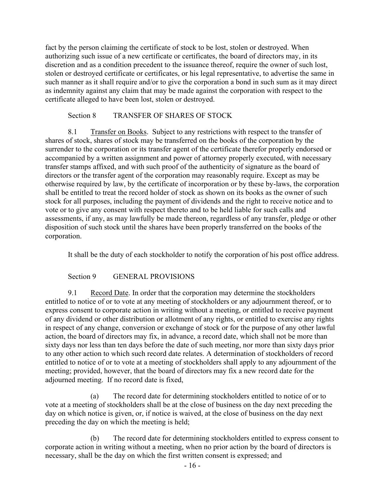fact by the person claiming the certificate of stock to be lost, stolen or destroyed. When authorizing such issue of a new certificate or certificates, the board of directors may, in its discretion and as a condition precedent to the issuance thereof, require the owner of such lost, stolen or destroyed certificate or certificates, or his legal representative, to advertise the same in such manner as it shall require and/or to give the corporation a bond in such sum as it may direct as indemnity against any claim that may be made against the corporation with respect to the certificate alleged to have been lost, stolen or destroyed.

### Section 8 TRANSFER OF SHARES OF STOCK

8.1 Transfer on Books. Subject to any restrictions with respect to the transfer of shares of stock, shares of stock may be transferred on the books of the corporation by the surrender to the corporation or its transfer agent of the certificate therefor properly endorsed or accompanied by a written assignment and power of attorney properly executed, with necessary transfer stamps affixed, and with such proof of the authenticity of signature as the board of directors or the transfer agent of the corporation may reasonably require. Except as may be otherwise required by law, by the certificate of incorporation or by these by-laws, the corporation shall be entitled to treat the record holder of stock as shown on its books as the owner of such stock for all purposes, including the payment of dividends and the right to receive notice and to vote or to give any consent with respect thereto and to be held liable for such calls and assessments, if any, as may lawfully be made thereon, regardless of any transfer, pledge or other disposition of such stock until the shares have been properly transferred on the books of the corporation.

It shall be the duty of each stockholder to notify the corporation of his post office address.

# Section 9 GENERAL PROVISIONS

9.1 Record Date. In order that the corporation may determine the stockholders entitled to notice of or to vote at any meeting of stockholders or any adjournment thereof, or to express consent to corporate action in writing without a meeting, or entitled to receive payment of any dividend or other distribution or allotment of any rights, or entitled to exercise any rights in respect of any change, conversion or exchange of stock or for the purpose of any other lawful action, the board of directors may fix, in advance, a record date, which shall not be more than sixty days nor less than ten days before the date of such meeting, nor more than sixty days prior to any other action to which such record date relates. A determination of stockholders of record entitled to notice of or to vote at a meeting of stockholders shall apply to any adjournment of the meeting; provided, however, that the board of directors may fix a new record date for the adjourned meeting. If no record date is fixed,

(a) The record date for determining stockholders entitled to notice of or to vote at a meeting of stockholders shall be at the close of business on the day next preceding the day on which notice is given, or, if notice is waived, at the close of business on the day next preceding the day on which the meeting is held;

(b) The record date for determining stockholders entitled to express consent to corporate action in writing without a meeting, when no prior action by the board of directors is necessary, shall be the day on which the first written consent is expressed; and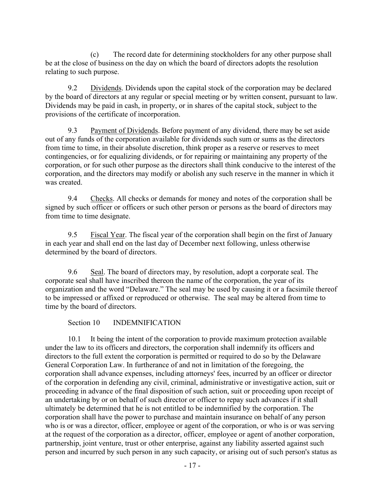(c) The record date for determining stockholders for any other purpose shall be at the close of business on the day on which the board of directors adopts the resolution relating to such purpose.

9.2 Dividends. Dividends upon the capital stock of the corporation may be declared by the board of directors at any regular or special meeting or by written consent, pursuant to law. Dividends may be paid in cash, in property, or in shares of the capital stock, subject to the provisions of the certificate of incorporation.

9.3 Payment of Dividends. Before payment of any dividend, there may be set aside out of any funds of the corporation available for dividends such sum or sums as the directors from time to time, in their absolute discretion, think proper as a reserve or reserves to meet contingencies, or for equalizing dividends, or for repairing or maintaining any property of the corporation, or for such other purpose as the directors shall think conducive to the interest of the corporation, and the directors may modify or abolish any such reserve in the manner in which it was created.

9.4 Checks. All checks or demands for money and notes of the corporation shall be signed by such officer or officers or such other person or persons as the board of directors may from time to time designate.

9.5 Fiscal Year. The fiscal year of the corporation shall begin on the first of January in each year and shall end on the last day of December next following, unless otherwise determined by the board of directors.

9.6 Seal. The board of directors may, by resolution, adopt a corporate seal. The corporate seal shall have inscribed thereon the name of the corporation, the year of its organization and the word "Delaware." The seal may be used by causing it or a facsimile thereof to be impressed or affixed or reproduced or otherwise. The seal may be altered from time to time by the board of directors.

Section 10 INDEMNIFICATION

10.1 It being the intent of the corporation to provide maximum protection available under the law to its officers and directors, the corporation shall indemnify its officers and directors to the full extent the corporation is permitted or required to do so by the Delaware General Corporation Law. In furtherance of and not in limitation of the foregoing, the corporation shall advance expenses, including attorneys' fees, incurred by an officer or director of the corporation in defending any civil, criminal, administrative or investigative action, suit or proceeding in advance of the final disposition of such action, suit or proceeding upon receipt of an undertaking by or on behalf of such director or officer to repay such advances if it shall ultimately be determined that he is not entitled to be indemnified by the corporation. The corporation shall have the power to purchase and maintain insurance on behalf of any person who is or was a director, officer, employee or agent of the corporation, or who is or was serving at the request of the corporation as a director, officer, employee or agent of another corporation, partnership, joint venture, trust or other enterprise, against any liability asserted against such person and incurred by such person in any such capacity, or arising out of such person's status as